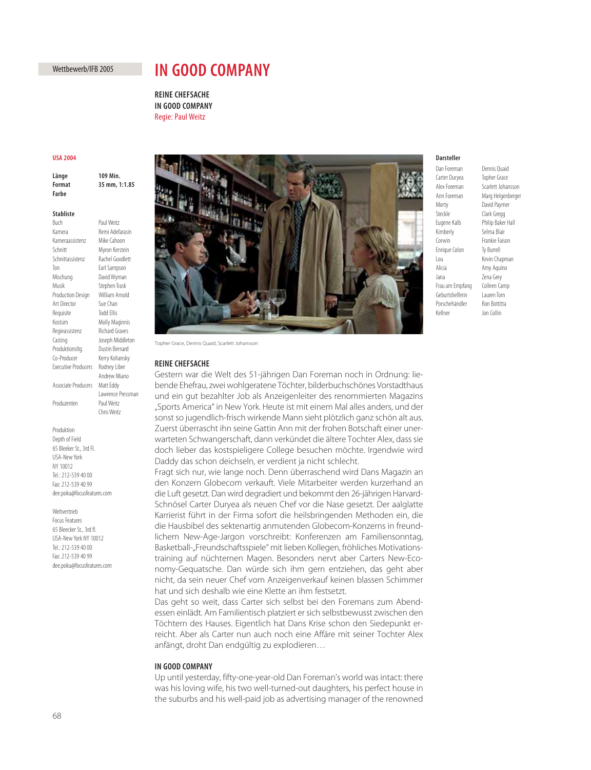# Wettbewerb/IFB 2005

# **IN GOOD COMPANY**

**REINE CHEFSACHE IN GOOD COMPANY Regie: Paul Weitz** Regie: Paul Weitz

## **IISA 2004**

**109 Min** Länge **Format** 35 mm, 1:1.85 **Format 35 mm, 1:1.85**

## **Stabliste**

**Buch** Paul Weitz Kamera Remi Adefarasin Kameraassistenz Mike Cahoon Schnitt Myron Kerstein Schnittassistenz Rachel Goodlett Ton Earl Sampson Mischung David Wyman Musik Stephen Trask Production Design William Arnold Art Director Sue Chan Requisite Todd Ellis Kostüm Molly Maginnis Regieassistenz Richard Graves Casting Joseph Middleton Produktionsltg. Dustin Bernard Co-Producer Kerry Kohansky Executive Producers Rodney Liber Andrew Miano Associate Producers Matt Eddy Lawrence Pressman Produzenten Paul Weitz Chris Weitz

### Produktion Depth of Field 65 Bleeker St., 3rd Fl.

USA-New York NY 10012 Tel.: 212-539 40 00 Fax: 212-539 40 99 dee.poku@focusfeatures.com

### Weltvertrieb

Focus Features 65 Bleecker St., 3rd fl. USA-New York NY 10012 Tel.: 212-539 40 00 Fax: 212-539 40 99 dee.poku@focusfeatures.com



Topher Grace, Dennis Quaid, Scarlett Johansson

### **REINE CHEFSACHE**

Gestern war die Welt des 51-jährigen Dan Foreman noch in Ordnung: liebende Ehefrau, zwei wohlgeratene Töchter, bilderbuchschönes Vorstadthaus und ein gut bezahlter Job als Anzeigenleiter des renommierten Magazins "Sports America" in New York. Heute ist mit einem Mal alles anders, und der sonst so jugendlich-frisch wirkende Mann sieht plötzlich ganz schön alt aus. Zuerst überrascht ihn seine Gattin Ann mit der frohen Botschaft einer unerwarteten Schwangerschaft, dann verkündet die ältere Tochter Alex, dass sie doch lieber das kostspieligere College besuchen möchte. Irgendwie wird Daddy das schon deichseln, er verdient ja nicht schlecht.

Fragt sich nur, wie lange noch. Denn überraschend wird Dans Magazin an den Konzern Globecom verkauft. Viele Mitarbeiter werden kurzerhand an die Luft gesetzt. Dan wird degradiert und bekommt den 26-jährigen Harvard-Schnösel Carter Duryea als neuen Chef vor die Nase gesetzt. Der aalglatte Karrierist führt in der Firma sofort die heilsbringenden Methoden ein, die die Hausbibel des sektenartig anmutenden Globecom-Konzerns in freundlichem New-Age-Jargon vorschreibt: Konferenzen am Familiensonntag, Basketball-"Freundschaftsspiele" mit lieben Kollegen, fröhliches Motivationstraining auf nüchternen Magen. Besonders nervt aber Carters New-Economy-Gequatsche. Dan würde sich ihm gern entziehen, das geht aber nicht, da sein neuer Chef vom Anzeigenverkauf keinen blassen Schimmer hat und sich deshalb wie eine Klette an ihm festsetzt.

Das geht so weit, dass Carter sich selbst bei den Foremans zum Abendessen einlädt. Am Familientisch platziert er sich selbstbewusst zwischen den Töchtern des Hauses. Eigentlich hat Dans Krise schon den Siedepunkt erreicht. Aber als Carter nun auch noch eine Affäre mit seiner Tochter Alex anfängt, droht Dan endgültig zu explodieren…

Up until yesterday, fifty-one-year-old Dan Foreman's world was intact: there was his loving wife, his two well-turned-out daughters, his perfect house in the suburbs and his well-paid job as advertising manager of the renowned

### Darsteller

**Dan Foreman** Carter Duryea Topher Grace Morty David Paymer Steckle Clark Gregg Kimberly Selma Blair Corwin Frankie Faison Enrique Colon Ty Burrell Alicia Amy Aquino Jana Zena Grey Frau am Empfang Colleen Camp Geburtshelferin Lauren Tom Porschehändler Ron Bottitta Kellner Jon Collin

Dennis Quaid Alex Foreman Scarlett Johansson Ann Foreman Marg Helgenberger Eugene Kalb Philip Baker Hall Lou Kevin Chapman